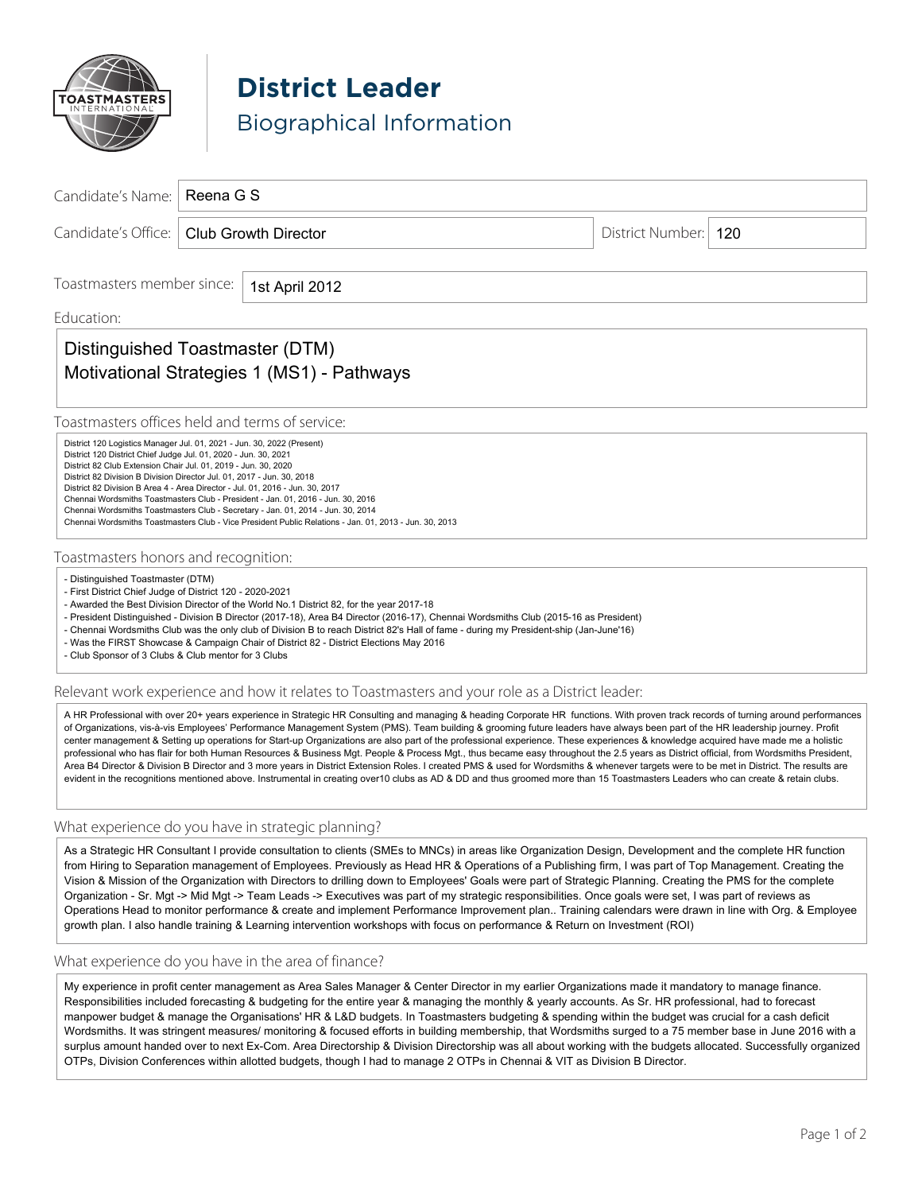

**District Leader** Biographical Information

| Candidate's Name:                                                                                                                                                                                                                                                                                                                                                                                                                                                                                                                                                                                                                                                                                                                                                                                                                                                                                                                                                                                                                                                                                                                  | Reena G S                                           |                        |  |
|------------------------------------------------------------------------------------------------------------------------------------------------------------------------------------------------------------------------------------------------------------------------------------------------------------------------------------------------------------------------------------------------------------------------------------------------------------------------------------------------------------------------------------------------------------------------------------------------------------------------------------------------------------------------------------------------------------------------------------------------------------------------------------------------------------------------------------------------------------------------------------------------------------------------------------------------------------------------------------------------------------------------------------------------------------------------------------------------------------------------------------|-----------------------------------------------------|------------------------|--|
| Candidate's Office:                                                                                                                                                                                                                                                                                                                                                                                                                                                                                                                                                                                                                                                                                                                                                                                                                                                                                                                                                                                                                                                                                                                | <b>Club Growth Director</b>                         | District Number:   120 |  |
|                                                                                                                                                                                                                                                                                                                                                                                                                                                                                                                                                                                                                                                                                                                                                                                                                                                                                                                                                                                                                                                                                                                                    |                                                     |                        |  |
| Toastmasters member since:<br>1st April 2012                                                                                                                                                                                                                                                                                                                                                                                                                                                                                                                                                                                                                                                                                                                                                                                                                                                                                                                                                                                                                                                                                       |                                                     |                        |  |
| Education:                                                                                                                                                                                                                                                                                                                                                                                                                                                                                                                                                                                                                                                                                                                                                                                                                                                                                                                                                                                                                                                                                                                         |                                                     |                        |  |
| Distinguished Toastmaster (DTM)<br>Motivational Strategies 1 (MS1) - Pathways                                                                                                                                                                                                                                                                                                                                                                                                                                                                                                                                                                                                                                                                                                                                                                                                                                                                                                                                                                                                                                                      |                                                     |                        |  |
| Toastmasters offices held and terms of service:                                                                                                                                                                                                                                                                                                                                                                                                                                                                                                                                                                                                                                                                                                                                                                                                                                                                                                                                                                                                                                                                                    |                                                     |                        |  |
| District 120 Logistics Manager Jul. 01, 2021 - Jun. 30, 2022 (Present)<br>District 120 District Chief Judge Jul. 01, 2020 - Jun. 30, 2021<br>District 82 Club Extension Chair Jul. 01, 2019 - Jun. 30, 2020<br>District 82 Division B Division Director Jul. 01, 2017 - Jun. 30, 2018<br>District 82 Division B Area 4 - Area Director - Jul. 01, 2016 - Jun. 30, 2017<br>Chennai Wordsmiths Toastmasters Club - President - Jan. 01, 2016 - Jun. 30, 2016<br>Chennai Wordsmiths Toastmasters Club - Secretary - Jan. 01, 2014 - Jun. 30, 2014<br>Chennai Wordsmiths Toastmasters Club - Vice President Public Relations - Jan. 01, 2013 - Jun. 30, 2013                                                                                                                                                                                                                                                                                                                                                                                                                                                                           |                                                     |                        |  |
| Toastmasters honors and recognition:                                                                                                                                                                                                                                                                                                                                                                                                                                                                                                                                                                                                                                                                                                                                                                                                                                                                                                                                                                                                                                                                                               |                                                     |                        |  |
| - First District Chief Judge of District 120 - 2020-2021<br>- Awarded the Best Division Director of the World No.1 District 82, for the year 2017-18<br>- President Distinguished - Division B Director (2017-18), Area B4 Director (2016-17), Chennai Wordsmiths Club (2015-16 as President)<br>- Chennai Wordsmiths Club was the only club of Division B to reach District 82's Hall of fame - during my President-ship (Jan-June'16)<br>- Was the FIRST Showcase & Campaign Chair of District 82 - District Elections May 2016<br>- Club Sponsor of 3 Clubs & Club mentor for 3 Clubs                                                                                                                                                                                                                                                                                                                                                                                                                                                                                                                                           |                                                     |                        |  |
| Relevant work experience and how it relates to Toastmasters and your role as a District leader:                                                                                                                                                                                                                                                                                                                                                                                                                                                                                                                                                                                                                                                                                                                                                                                                                                                                                                                                                                                                                                    |                                                     |                        |  |
| A HR Professional with over 20+ years experience in Strategic HR Consulting and managing & heading Corporate HR functions. With proven track records of turning around performances<br>of Organizations, vis-à-vis Employees' Performance Management System (PMS). Team building & grooming future leaders have always been part of the HR leadership journey. Profit<br>center management & Setting up operations for Start-up Organizations are also part of the professional experience. These experiences & knowledge acquired have made me a holistic<br>professional who has flair for both Human Resources & Business Mgt. People & Process Mgt., thus became easy throughout the 2.5 years as District official, from Wordsmiths President,<br>Area B4 Director & Division B Director and 3 more years in District Extension Roles. I created PMS & used for Wordsmiths & whenever targets were to be met in District. The results are<br>evident in the recognitions mentioned above. Instrumental in creating over 10 clubs as AD & DD and thus groomed more than 15 Toastmasters Leaders who can create & retain clubs. |                                                     |                        |  |
|                                                                                                                                                                                                                                                                                                                                                                                                                                                                                                                                                                                                                                                                                                                                                                                                                                                                                                                                                                                                                                                                                                                                    | What experience do you have in strategic planning?  |                        |  |
| As a Strategic HR Consultant I provide consultation to clients (SMEs to MNCs) in areas like Organization Design, Development and the complete HR function<br>from Hiring to Separation management of Employees. Previously as Head HR & Operations of a Publishing firm, I was part of Top Management. Creating the<br>Vision & Mission of the Organization with Directors to drilling down to Employees' Goals were part of Strategic Planning. Creating the PMS for the complete<br>Organization - Sr. Mgt -> Mid Mgt -> Team Leads -> Executives was part of my strategic responsibilities. Once goals were set, I was part of reviews as<br>Operations Head to monitor performance & create and implement Performance Improvement plan Training calendars were drawn in line with Org. & Employee<br>growth plan. I also handle training & Learning intervention workshops with focus on performance & Return on Investment (ROI)                                                                                                                                                                                              |                                                     |                        |  |
|                                                                                                                                                                                                                                                                                                                                                                                                                                                                                                                                                                                                                                                                                                                                                                                                                                                                                                                                                                                                                                                                                                                                    | What experience do you have in the area of finance? |                        |  |
| My experience in profit center management as Area Sales Manager & Center Director in my earlier Organizations made it mandatory to manage finance.<br>Responsibilities included forecasting & budgeting for the entire year & managing the monthly & yearly accounts. As Sr. HR professional, had to forecast<br>manpower budget & manage the Organisations' HR & L&D budgets. In Toastmasters budgeting & spending within the budget was crucial for a cash deficit<br>Wordsmiths. It was stringent measures/ monitoring & focused efforts in building membership, that Wordsmiths surged to a 75 member base in June 2016 with a<br>surplus amount handed over to next Ex-Com. Area Directorship & Division Directorship was all about working with the budgets allocated. Successfully organized<br>OTPs, Division Conferences within allotted budgets, though I had to manage 2 OTPs in Chennai & VIT as Division B Director.                                                                                                                                                                                                  |                                                     |                        |  |
|                                                                                                                                                                                                                                                                                                                                                                                                                                                                                                                                                                                                                                                                                                                                                                                                                                                                                                                                                                                                                                                                                                                                    |                                                     |                        |  |